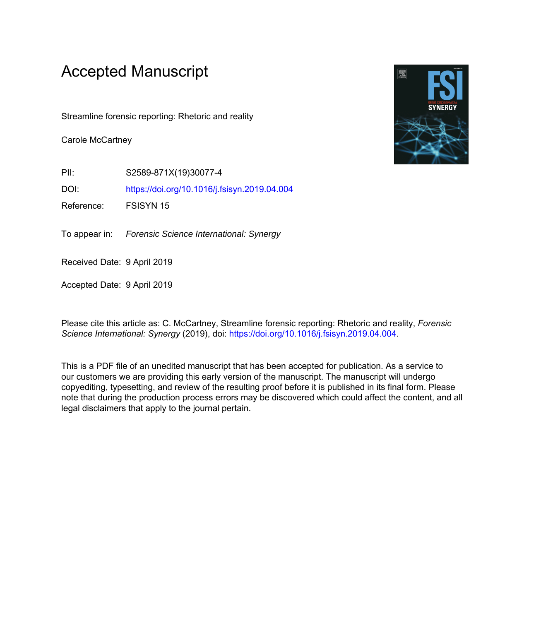# Accepted Manuscript

Streamline forensic reporting: Rhetoric and reality

Carole McCartney

PII: S2589-871X(19)30077-4

DOI: <https://doi.org/10.1016/j.fsisyn.2019.04.004>

Reference: FSISYN 15

To appear in: Forensic Science International: Synergy

Received Date: 9 April 2019

Accepted Date: 9 April 2019

Please cite this article as: C. McCartney, Streamline forensic reporting: Rhetoric and reality, *Forensic Science International: Synergy* (2019), doi: [https://doi.org/10.1016/j.fsisyn.2019.04.004.](https://doi.org/10.1016/j.fsisyn.2019.04.004)

This is a PDF file of an unedited manuscript that has been accepted for publication. As a service to our customers we are providing this early version of the manuscript. The manuscript will undergo copyediting, typesetting, and review of the resulting proof before it is published in its final form. Please note that during the production process errors may be discovered which could affect the content, and all legal disclaimers that apply to the journal pertain.

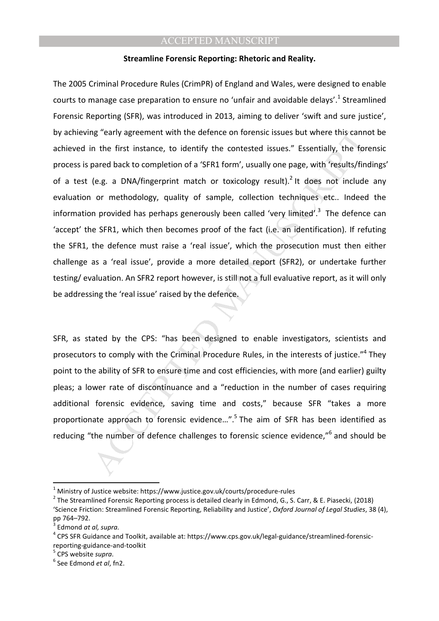#### **Streamline Forensic Reporting: Rhetoric and Reality.**

ng "early agreement with the defence on forensic issues but where this cannot the first instance, to identify the contested issues." Essentially, the forend back to completion of a 'SFR1 form', usually one page, with 'resu The 2005 Criminal Procedure Rules (CrimPR) of England and Wales, were designed to enable courts to manage case preparation to ensure no 'unfair and avoidable delays'.<sup>1</sup> Streamlined Forensic Reporting (SFR), was introduced in 2013, aiming to deliver 'swift and sure justice', by achieving "early agreement with the defence on forensic issues but where this cannot be achieved in the first instance, to identify the contested issues." Essentially, the forensic process is pared back to completion of a 'SFR1 form', usually one page, with 'results/findings' of a test (e.g. a DNA/fingerprint match or toxicology result).<sup>2</sup> It does not include any evaluation or methodology, quality of sample, collection techniques etc.. Indeed the information provided has perhaps generously been called 'very limited'.<sup>3</sup> The defence can 'accept' the SFR1, which then becomes proof of the fact (i.e. an identification). If refuting the SFR1, the defence must raise a 'real issue', which the prosecution must then either challenge as a 'real issue', provide a more detailed report (SFR2), or undertake further testing/ evaluation. An SFR2 report however, is still not a full evaluative report, as it will only be addressing the 'real issue' raised by the defence.

SFR, as stated by the CPS: "has been designed to enable investigators, scientists and prosecutors to comply with the Criminal Procedure Rules, in the interests of justice."<sup>4</sup> They point to the ability of SFR to ensure time and cost efficiencies, with more (and earlier) guilty pleas; a lower rate of discontinuance and a "reduction in the number of cases requiring additional forensic evidence, saving time and costs," because SFR "takes a more proportionate approach to forensic evidence...".<sup>5</sup> The aim of SFR has been identified as reducing "the number of defence challenges to forensic science evidence,"<sup>6</sup> and should be

l

 $^{\rm 1}$  Ministry of Justice website: https://www.justice.gov.uk/courts/procedure-rules

<sup>&</sup>lt;sup>2</sup> The Streamlined Forensic Reporting process is detailed clearly in Edmond, G., S. Carr, & E. Piasecki, (2018) 'Science Friction: Streamlined Forensic Reporting, Reliability and Justice', *Oxford Journal of Legal Studies*, 38 (4), pp 764–792.<br><sup>3</sup> Edmond et

Edmond *at al, supra.*

<sup>&</sup>lt;sup>4</sup> CPS SFR Guidance and Toolkit, available at: https://www.cps.gov.uk/legal-guidance/streamlined-forensicreporting-guidance-and-toolkit

<sup>5</sup> CPS website *supra*.

<sup>6</sup> See Edmond *et al*, fn2.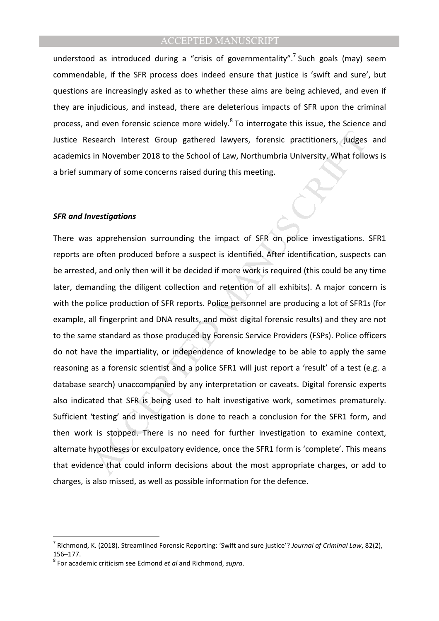understood as introduced during a "crisis of governmentality".<sup>7</sup> Such goals (may) seem commendable, if the SFR process does indeed ensure that justice is 'swift and sure', but questions are increasingly asked as to whether these aims are being achieved, and even if they are injudicious, and instead, there are deleterious impacts of SFR upon the criminal process, and even forensic science more widely.<sup>8</sup> To interrogate this issue, the Science and Justice Research Interest Group gathered lawyers, forensic practitioners, judges and academics in November 2018 to the School of Law, Northumbria University. What follows is a brief summary of some concerns raised during this meeting.

#### *SFR and Investigations*

search Interest Group gathered lawyers, forensic practitioners, judges<br>in November 2018 to the School of Law, Northumbria University. What follo<br>mary of some concerns raised during this meeting.<br>**Vestigations**<br>apprehension There was apprehension surrounding the impact of SFR on police investigations. SFR1 reports are often produced before a suspect is identified. After identification, suspects can be arrested, and only then will it be decided if more work is required (this could be any time later, demanding the diligent collection and retention of all exhibits). A major concern is with the police production of SFR reports. Police personnel are producing a lot of SFR1s (for example, all fingerprint and DNA results, and most digital forensic results) and they are not to the same standard as those produced by Forensic Service Providers (FSPs). Police officers do not have the impartiality, or independence of knowledge to be able to apply the same reasoning as a forensic scientist and a police SFR1 will just report a 'result' of a test (e.g. a database search) unaccompanied by any interpretation or caveats. Digital forensic experts also indicated that SFR is being used to halt investigative work, sometimes prematurely. Sufficient 'testing' and investigation is done to reach a conclusion for the SFR1 form, and then work is stopped. There is no need for further investigation to examine context, alternate hypotheses or exculpatory evidence, once the SFR1 form is 'complete'. This means that evidence that could inform decisions about the most appropriate charges, or add to charges, is also missed, as well as possible information for the defence.

 $\overline{a}$ 

<sup>7</sup> Richmond, K. (2018). Streamlined Forensic Reporting: 'Swift and sure justice'? *Journal of Criminal Law*, 82(2), 156–177.

<sup>8</sup> For academic criticism see Edmond *et al* and Richmond, *supra*.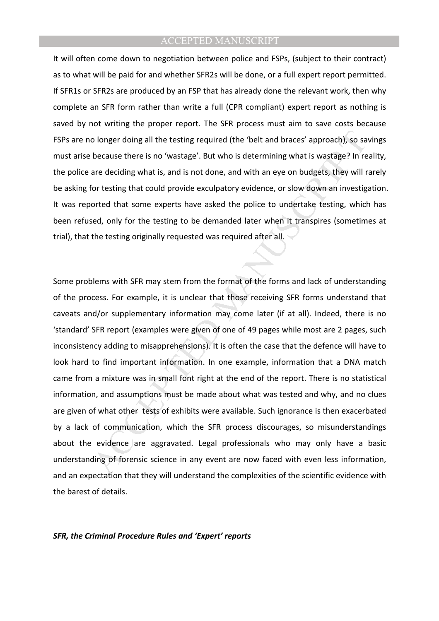It will often come down to negotiation between police and FSPs, (subject to their contract) as to what will be paid for and whether SFR2s will be done, or a full expert report permitted. If SFR1s or SFR2s are produced by an FSP that has already done the relevant work, then why complete an SFR form rather than write a full (CPR compliant) expert report as nothing is saved by not writing the proper report. The SFR process must aim to save costs because FSPs are no longer doing all the testing required (the 'belt and braces' approach), so savings must arise because there is no 'wastage'. But who is determining what is wastage? In reality, the police are deciding what is, and is not done, and with an eye on budgets, they will rarely be asking for testing that could provide exculpatory evidence, or slow down an investigation. It was reported that some experts have asked the police to undertake testing, which has been refused, only for the testing to be demanded later when it transpires (sometimes at trial), that the testing originally requested was required after all.

o longer doing all the testing required (the "belt and braces" approach), so sa<br>because there is no "wastage". But who is determining what is wastage? In re<br>are deciding what is, and is not done, and with an eye on budgets Some problems with SFR may stem from the format of the forms and lack of understanding of the process. For example, it is unclear that those receiving SFR forms understand that caveats and/or supplementary information may come later (if at all). Indeed, there is no 'standard' SFR report (examples were given of one of 49 pages while most are 2 pages, such inconsistency adding to misapprehensions). It is often the case that the defence will have to look hard to find important information. In one example, information that a DNA match came from a mixture was in small font right at the end of the report. There is no statistical information, and assumptions must be made about what was tested and why, and no clues are given of what other tests of exhibits were available. Such ignorance is then exacerbated by a lack of communication, which the SFR process discourages, so misunderstandings about the evidence are aggravated. Legal professionals who may only have a basic understanding of forensic science in any event are now faced with even less information, and an expectation that they will understand the complexities of the scientific evidence with the barest of details.

*SFR, the Criminal Procedure Rules and 'Expert' reports*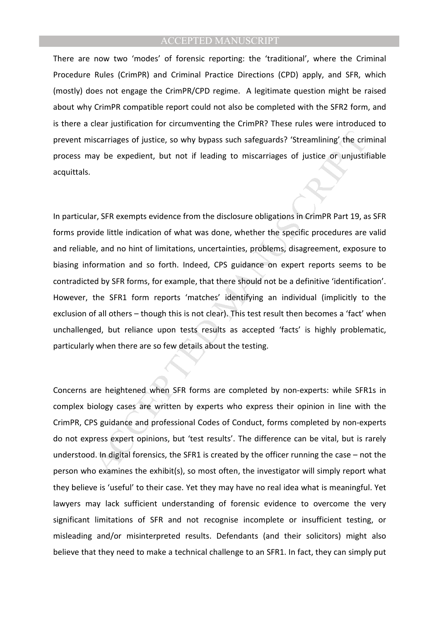There are now two 'modes' of forensic reporting: the 'traditional', where the Criminal Procedure Rules (CrimPR) and Criminal Practice Directions (CPD) apply, and SFR, which (mostly) does not engage the CrimPR/CPD regime. A legitimate question might be raised about why CrimPR compatible report could not also be completed with the SFR2 form, and is there a clear justification for circumventing the CrimPR? These rules were introduced to prevent miscarriages of justice, so why bypass such safeguards? 'Streamlining' the criminal process may be expedient, but not if leading to miscarriages of justice or unjustifiable acquittals.

iscarriages of justice, so why bypass such safeguards? 'Streamlining' the critical transport be expedient, but not if leading to miscarriages of justice or unjustif<br>ar, SFR exempts evidence from the disclosure obligations In particular, SFR exempts evidence from the disclosure obligations in CrimPR Part 19, as SFR forms provide little indication of what was done, whether the specific procedures are valid and reliable, and no hint of limitations, uncertainties, problems, disagreement, exposure to biasing information and so forth. Indeed, CPS guidance on expert reports seems to be contradicted by SFR forms, for example, that there should not be a definitive 'identification'. However, the SFR1 form reports 'matches' identifying an individual (implicitly to the exclusion of all others – though this is not clear). This test result then becomes a 'fact' when unchallenged, but reliance upon tests results as accepted 'facts' is highly problematic, particularly when there are so few details about the testing.

Concerns are heightened when SFR forms are completed by non-experts: while SFR1s in complex biology cases are written by experts who express their opinion in line with the CrimPR, CPS guidance and professional Codes of Conduct, forms completed by non-experts do not express expert opinions, but 'test results'. The difference can be vital, but is rarely understood. In digital forensics, the SFR1 is created by the officer running the case – not the person who examines the exhibit(s), so most often, the investigator will simply report what they believe is 'useful' to their case. Yet they may have no real idea what is meaningful. Yet lawyers may lack sufficient understanding of forensic evidence to overcome the very significant limitations of SFR and not recognise incomplete or insufficient testing, or misleading and/or misinterpreted results. Defendants (and their solicitors) might also believe that they need to make a technical challenge to an SFR1. In fact, they can simply put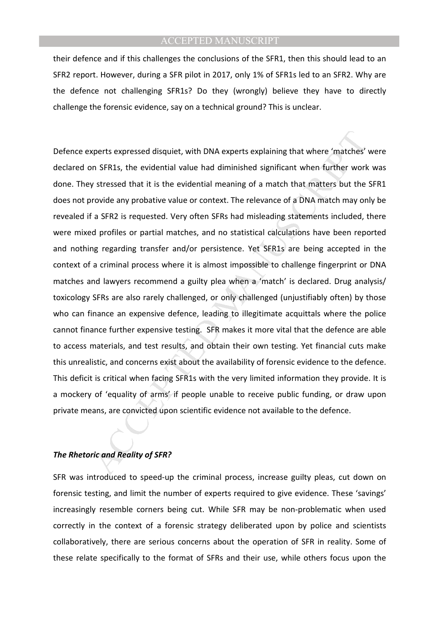their defence and if this challenges the conclusions of the SFR1, then this should lead to an SFR2 report. However, during a SFR pilot in 2017, only 1% of SFR1s led to an SFR2. Why are the defence not challenging SFR1s? Do they (wrongly) believe they have to directly challenge the forensic evidence, say on a technical ground? This is unclear.

xperts expressed disquiet, with DNA experts explaining that where 'matches'<br>
m SFR1s, the evidential value had diminished significant when further work<br>
stressed that it is the evidential meaning of a match that matters bu Defence experts expressed disquiet, with DNA experts explaining that where 'matches' were declared on SFR1s, the evidential value had diminished significant when further work was done. They stressed that it is the evidential meaning of a match that matters but the SFR1 does not provide any probative value or context. The relevance of a DNA match may only be revealed if a SFR2 is requested. Very often SFRs had misleading statements included, there were mixed profiles or partial matches, and no statistical calculations have been reported and nothing regarding transfer and/or persistence. Yet SFR1s are being accepted in the context of a criminal process where it is almost impossible to challenge fingerprint or DNA matches and lawyers recommend a guilty plea when a 'match' is declared. Drug analysis/ toxicology SFRs are also rarely challenged, or only challenged (unjustifiably often) by those who can finance an expensive defence, leading to illegitimate acquittals where the police cannot finance further expensive testing. SFR makes it more vital that the defence are able to access materials, and test results, and obtain their own testing. Yet financial cuts make this unrealistic, and concerns exist about the availability of forensic evidence to the defence. This deficit is critical when facing SFR1s with the very limited information they provide. It is a mockery of 'equality of arms' if people unable to receive public funding, or draw upon private means, are convicted upon scientific evidence not available to the defence.

#### *The Rhetoric and Reality of SFR?*

SFR was introduced to speed-up the criminal process, increase guilty pleas, cut down on forensic testing, and limit the number of experts required to give evidence. These 'savings' increasingly resemble corners being cut. While SFR may be non-problematic when used correctly in the context of a forensic strategy deliberated upon by police and scientists collaboratively, there are serious concerns about the operation of SFR in reality. Some of these relate specifically to the format of SFRs and their use, while others focus upon the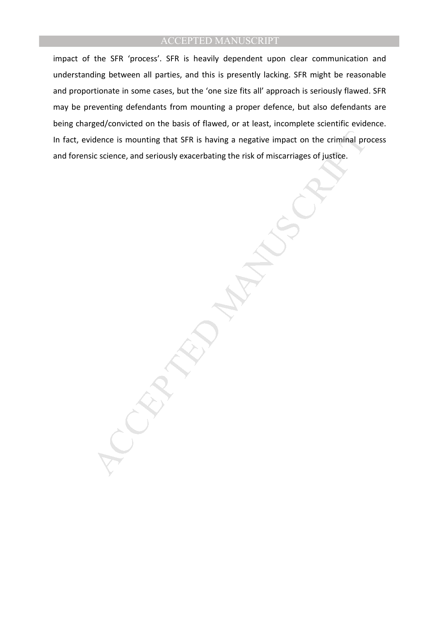impact of the SFR 'process'. SFR is heavily dependent upon clear communication and understanding between all parties, and this is presently lacking. SFR might be reasonable and proportionate in some cases, but the 'one size fits all' approach is seriously flawed. SFR may be preventing defendants from mounting a proper defence, but also defendants are being charged/convicted on the basis of flawed, or at least, incomplete scientific evidence. In fact, evidence is mounting that SFR is having a negative impact on the criminal process and forensic science, and seriously exacerbating the risk of miscarriages of justice.

idence is mounting that SFR is having a negative impact on the criminal projection.<br>
ic science, and seriously exacerbating the risk of miscarriages of justice.